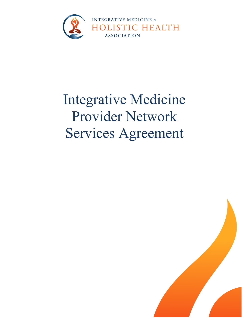

# Integrative Medicine Provider Network Services Agreement

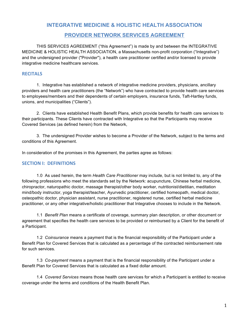# **INTEGRATIVE MEDICINE & HOLISTIC HEALTH ASSOCIATION**

# **PROVIDER NETWORK SERVICES AGREEMENT**

THIS SERVICES AGREEMENT ("this Agreement") is made by and between the INTEGRATIVE MEDICINE & HOLISTIC HEALTH ASSOCIATION, a Massachusetts non-profit corporation ("Integrative") and the undersigned provider ("Provider"), a health care practitioner certified and/or licensed to provide integrative medicine healthcare services.

# **RECITALS**

1. Integrative has established a network of integrative medicine providers, physicians, ancillary providers and health care practitioners (the "Network") who have contracted to provide health care services to employees/members and their dependents of certain employers, insurance funds, Taft-Hartley funds, unions, and municipalities ("Clients").

2. Clients have established Health Benefit Plans, which provide benefits for health care services to their participants. These Clients have contracted with Integrative so that the Participants may receive Covered Services (as defined herein) from the Network,

3. The undersigned Provider wishes to become a Provider of the Network, subject to the terms and conditions of this Agreement.

In consideration of the promises in this Agreement, the parties agree as follows:

# **SECTION I: DEFINITIONS**

1.0 As used herein, the term *Health Care Practitioner* may include, but is not limited to, any of the following professions who meet the standards set by the Network: acupuncture, Chinese herbal medicine, chiropractor, naturopathic doctor, massage therapist/other body worker, nutritionist/dietitian, meditation mind/body instructor, yoga therapist/teacher, Ayurvedic practitioner, certified homeopath, medical doctor, osteopathic doctor, physician assistant, nurse practitioner, registered nurse, certified herbal medicine practitioner, or any other integrative/holistic practitioner that Integrative chooses to include in the Network.

1.1 *Benefit Plan* means a certificate of coverage, summary plan description, or other document or agreement that specifies the health care services to be provided or reimbursed by a Client for the benefit of a Participant.

1.2 *Coinsurance* means a payment that is the financial responsibility of the Participant under a Benefit Plan for Covered Services that is calculated as a percentage of the contracted reimbursement rate for such services.

1.3 *Co-payment* means a payment that is the financial responsibility of the Participant under a Benefit Plan for Covered Services that is calculated as a fixed dollar amount.

1.4 *Covered Services* means those health care services for which a Participant is entitled to receive coverage under the terms and conditions of the Health Benefit Plan.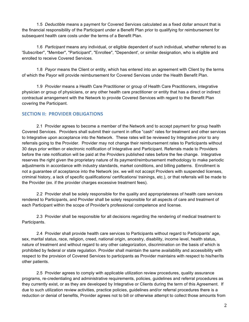1.5 *Deductible* means a payment for Covered Services calculated as a fixed dollar amount that is the financial responsibility of the Participant under a Benefit Plan prior to qualifying for reimbursement for subsequent health care costs under the terms of a Benefit Plan.

1.6 *Participant* means any individual, or eligible dependent of such individual, whether referred to as 'Subscriber'', "Member", "Participant", "Enrollee", "Dependent', or similar designation, who is eligible and enrolled to receive Covered Services.

1.8 *Payor* means the Client or entity, which has entered into an agreement with Client by the terms of which the Payor will provide reimbursement for Covered Services under the Health Benefit Plan.

1.9 *Provider* means a Health Care Practitioner or group of Health Care Practitioners, integrative physician or group of physicians, or any other health care practitioner or entity that has a direct or indirect contractual arrangement with the Network to provide Covered Services with regard to the Benefit Plan covering the Participant.

## **SECTION II: PROVIDER OBLIGATIONS**

2.1 Provider agrees to become a member of the Network and to accept payment for group health Covered Services. Providers shall submit their current in office "cash" rates for treatment and other services to Integrative upon acceptance into the Network. These rates will be reviewed by Integrative prior to any referrals going to the Provider. Provider may not change their reimbursement rates to Participants without 30 days prior written or electronic notification of Integrative and Participant. Referrals made to Providers before the rate notification will be paid at the Providers published rates before the fee change. Integrative reserves the right given the proprietary nature of its payment/reimbursement methodology to make periodic adjustments in accordance with industry standards, market conditions, and billing patterns. Enrollment is not a guarantee of acceptance into the Network (ex. we will not accept Providers with suspended licenses, criminal history, a lack of specific qualifications/ certifications/ trainings, etc.), or that referrals will be made to the Provider (ex. if the provider charges excessive treatment fees).

2.2 Provider shall be solely responsible for the quality and appropriateness of health care services rendered to Participants, and Provider shall be solely responsible for all aspects of care and treatment of each Participant within the scope of Provider's professional competence and license.

2.3 Provider shall be responsible for all decisions regarding the rendering of medical treatment to Participants.

2.4 Provider shall provide health care services to Participants without regard to Participants' age, sex, marital status, race, religion, creed, national origin, ancestry, disability, income level, health status, nature of treatment and without regard to any other categorization, discrimination on the basis of which is prohibited by federal or state regulation. Provider shall maintain the same availability and accessibility with respect to the provision of Covered Services to participants as Provider maintains with respect to his/her/its other patients.

2.5 Provider agrees to comply with applicable utilization review procedures, quality assurance programs, re-credentialing and administrative requirements, policies, guidelines and referral procedures as they currently exist, or as they are developed by Integrative or Clients during the term of this Agreement. If due to such utilization review activities, practice policies, guidelines and/or referral procedures there is a reduction or denial of benefits, Provider agrees not to bill or otherwise attempt to collect those amounts from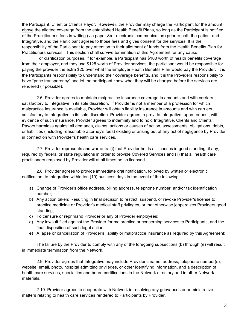the Participant, Client or Client's Payor. **However**, the Provider may charge the Participant for the amount above the allotted coverage from the established Health Benefit Plans, so long as the Participant is notified of the Practitioner's fees in writing (via paper &/or electronic communication) prior to both the patient and Integrative, and the Participant agrees to those fees and gives consent for the services. It is the responsibility of the Participant to pay attention to their allotment of funds from the Health Benefits Plan for Practitioners services. This section shall survive termination of this Agreement for any cause.

For clarification purposes, if for example, a Participant has \$100 worth of health benefits coverage from their employer, and they use \$125 worth of Provider services, the participant would be responsible for paying the provider the extra \$25 over what the Employer Health Benefits Plan would pay the Provider. It is the Participants responsibility to understand their coverage benefits, and it is the Providers responsibility to have "price transparency" and let the participant know what they will be charged before the services are rendered (if possible).

2.6 Provider agrees to maintain malpractice insurance coverage in amounts and with carriers satisfactory to Integrative in its sole discretion. If Provider is not a member of a profession for which malpractice insurance is available, Provider will obtain liability insurance in amounts and with carriers satisfactory to Integrative in its sole discretion. Provider agrees to provide Integrative, upon request, with evidence of such insurance. Provider agrees to indemnify and to hold Integrative, Clients and Clients' Payors harmless against all demands, claims, actions or causes of action, assessments, obligations, debts, or liabilities (including reasonable attorney's fees) existing or arising out of any act of negligence by Provider in connection with Provider's health care services.

2.7 Provider represents and warrants: (i) that Provider holds all licenses in good standing, if any, required by federal or state regulations in order to provide Covered Services and (ii) that all health care practitioners employed by Provider will at all times be so licensed.

2.8 Provider agrees to provide immediate oral notification, followed by written or electronic notification, to Integrative within ten (10) business days in the event of the following:

- a) Change of Provider's office address, billing address, telephone number, and/or tax identification number;
- b) Any action taken: Resulting in final decision to restrict, suspend, or revoke Provider's license to practice medicine or Provider's medical staff privileges, or that otherwise jeopardizes Providers good standing;
- c) To censure or reprimand Provider or any of Provider employees;
- d) Any lawsuit filed against the Provider for malpractice or concerning services to Participants, and the final disposition of such legal action;
- e) A lapse or cancellation of Provider's liability or malpractice insurance as required by this Agreement;

The failure by the Provider to comply with any of the foregoing subsections (b) through (e) will result in immediate termination from the Network.

2.9 Provider agrees that Integrative may include Provider's name, address, telephone number(s), website, email, photo, hospital admitting privileges, or other identifying information, and a description of health care services, specialties and board certifications in the Network directory and in other Network materials.

2.10 Provider agrees to cooperate with Network in resolving any grievances or administrative matters relating to health care services rendered to Participants by Provider.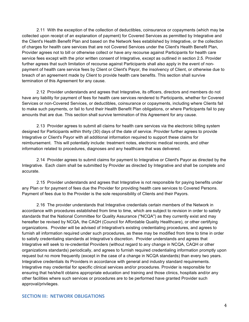2.11 With the exception of the collection of deductibles, coinsurance or copayments (which may be collected upon receipt of an explanation of payment) for Covered Services as permitted by Integrative and the Client's Health Benefit Plan and based on the Network fees established by Integrative, or the collection of charges for health care services that are not Covered Services under the Client's Health Benefit Plan, Provider agrees not to bill or otherwise collect or have any recourse against Participants for health care service fees except with the prior written consent of Integrative, except as outlined in section 2.5. Provider further agrees that such limitation of recourse against Participants shall also apply in the event of nonpayment of health care service fees by Client or Client's Payor, the insolvency of Client, or otherwise due to breach of an agreement made by Client to provide health care benefits. This section shall survive termination of this Agreement for any cause.

2.12 Provider understands and agrees that Integrative, its officers, directors and members do not have any liability for payment of fees for health care services rendered to Participants, whether for Covered Services or non-Covered Services, or deductibles, coinsurance or copayments, including where Clients fail to make such payments, or fail to fund their Health Benefit Plan obligations, or where Participants fail to pay amounts that are due. This section shall survive termination of this Agreement for any cause.

2.13 Provider agrees to submit all claims for health care services via the electronic billing system designed for Participants within thirty (30) days of the date of service. Provider further agrees to provide Integrative or Client's Payor with all additional information required to support these claims for reimbursement. This will potentially include: treatment notes, electronic medical records, and other information related to procedures, diagnoses and any healthcare that was delivered.

2.14 Provider agrees to submit claims for payment to Integrative or Client's Payor as directed by the Integrative. Each claim shall be submitted by Provider as directed by Integrative and shall be complete and accurate.

2.15 Provider understands and agrees that Integrative is not responsible for paying benefits under any Plan or for payment of fees due the Provider for providing health care services to Covered Persons. Payment of fees due to the Provider is the sole responsibility of Clients and their Payors.

2.16 The provider understands that Integrative credentials certain members of the Network in accordance with procedures established from time to time, which are subject to revision in order to satisfy standards that the National Committee for Quality Assurance ("NCQA") as they currently exist and may hereafter be revised by NCQA, the CAQH (Council for Affordable Quality Healthcare), or other certifying organizations. Provider will be advised of Integrative's existing credentialing procedures, and agrees to furnish all information required under such procedures, as these may be modified from time to time in order to satisfy credentialing standards at Integrative's discretion. Provider understands and agrees that Integrative will seek to re-credential Providers (without regard to any change in NCQA, CAQH or other organizations standards) periodically, and agrees to furnish required credentialing information promptly upon request but no more frequently (except in the case of a change in NCQA standards) than every two years. Integrative credentials its Providers in accordance with general and industry standard requirements. Integrative may credential for specific clinical services and/or procedures. Provider is responsible for ensuring that he/she/it obtains appropriate education and training and those clinics, hospitals and/or any other facilities where such services or procedures are to be performed have granted Provider such approval/privileges.

#### **SECTION III: NETWORK OBLIGATIONS**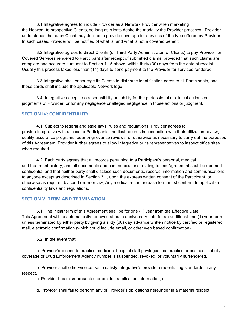3.1 Integrative agrees to include Provider as a Network Provider when marketing the Network to prospective Clients, so long as clients desire the modality the Provider practices. Provider understands that each Client may decline to provide coverage for services of the type offered by Provider. In such cases, Provider will be notified of what is, and what is not a covered benefit.

3.2 Integrative agrees to direct Clients (or Third-Party Administrator for Clients) to pay Provider for Covered Services rendered to Participant after receipt of submitted claims, provided that such claims are complete and accurate pursuant to Section 1.15 above, within thirty (30) days from the date of receipt. Usually this process takes less than (14) days to send payment to the Provider for services rendered.

3.3 Integrative shall encourage its Clients to distribute identification cards to all Participants, and these cards shall include the applicable Network logo.

3.4 Integrative accepts no responsibility or liability for the professional or clinical actions or judgments of Provider, or for any negligence or alleged negligence in those actions or judgment.

## **SECTION IV: CONFIDENTIALITY**

4.1 Subject to federal and stale laws, rules and regulations, Provider agrees to provide Integrative with access to Participants' medical records in connection with their utilization review, quality assurance programs, peer or grievance reviews, or otherwise as necessary to carry out the purposes of this Agreement. Provider further agrees to allow Integrative or its representatives to inspect office sites when required.

4.2 Each party agrees that all records pertaining to a Participant's personal, medical and treatment history, and all documents and communications relating to this Agreement shall be deemed confidential and that neither party shall disclose such documents, records, information and communications to anyone except as described in Section 3.1, upon the express written consent of the Participant, or otherwise as required by court order or law, Any medical record release form must conform to applicable confidentiality laws and regulations.

# **SECTION V: TERM AND TERMINATION**

5.1 The initial term of this Agreement shall be for one (1) year from the Effective Date. This Agreement will be automatically renewed at each anniversary date for an additional one (1) year term unless terminated by either party by giving a sixty (60) day advance written notice by certified or registered mail, electronic confirmation (which could include email, or other web based confirmation).

5.2 In the event that:

a. Provider's license to practice medicine, hospital staff privileges, malpractice or business liability coverage or Drug Enforcement Agency number is suspended, revoked, or voluntarily surrendered.

b. Provider shall otherwise cease to satisfy Integrative's provider credentialing standards in any respect.

c. Provider has misrepresented or omitted application information, or

d. Provider shall fail to perform any of Provider's obligations hereunder in a material respect,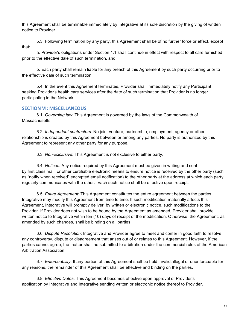this Agreement shall be terminable immediately by Integrative at its sole discretion by the giving of written notice to Provider.

5.3 Following termination by any party, this Agreement shall be of no further force or effect, except that:

a. Provider's obligations under Section 1.1 shall continue in effect with respect to all care furnished prior to the effective dale of such termination, and

b. Each party shall remain liable for any breach of this Agreement by such party occurring prior to the effective dale of such termination.

5.4 In the event this Agreement terminates, Provider shall immediately notify any Participant seeking Provider's health care services after the date of such termination that Provider is no longer participating in the Network.

# **SECTION VI: MISCELLANEOUS**

6.1 *Governing law*: This Agreement is governed by the laws of the Commonwealth of Massachusetts.

6.2 *Independent contractors*. No joint venture, partnership, employment, agency or other relationship is created by this Agreement between or among any parties. No party is authorized by this Agreement to represent any other party for any purpose.

6.3 *Non-Exclusive*: This Agreement is not exclusive to either party.

6.4 *Notices*: Any notice required by this Agreement must be given in writing and sent by first class mail, or other certifiable electronic means to ensure notice is received by the other party (such as "notify when received" encrypted email notification) to the other party at the address at which each party regularly communicates with the other. Each such notice shall be effective upon receipt.

6.5 *Entire Agreement*: This Agreement constitutes the entire agreement between the parties. Integrative may modify this Agreement from time to time. If such modification materially affects this Agreement, Integrative will promptly deliver, by written or electronic notice, such modifications to the Provider. If Provider does not wish to be bound by the Agreement as amended, Provider shall provide written notice to Integrative within ten (10) days of receipt of the modification. Otherwise, the Agreement, as amended by such changes, shall be binding on all parties.

6.6 *Dispute Resolution*: Integrative and Provider agree to meet and confer in good faith to resolve any controversy, dispute or disagreement that arises out of or relates to this Agreement. However, if the parties cannot agree, the matter shall he submitted to arbitration under the commercial rules of the American Arbitration Association.

6.7 *Enforceability*: If any portion of this Agreement shall be held invalid, illegal or unenforceable for any reasons, the remainder of this Agreement shall be effective and binding on the parties.

6.8 *Effective Dates*: This Agreement becomes effective upon approval of Provider's application by Integrative and Integrative sending written or electronic notice thereof to Provider.